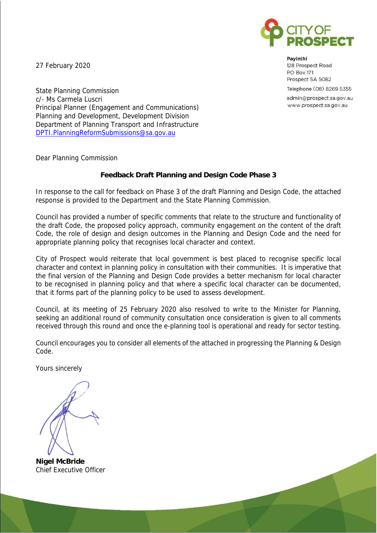

27 February 2020

Payinthi 128 Prospect Road **PO Box 171** Prospect SA 5082 Telephone (08) 8269 5355 admin@prospect.sa.gov.au www.prospect.sa.gov.au

State Planning Commission c/- Ms Carmela Luscri Principal Planner (Engagement and Communications) Planning and Development, Development Division Department of Planning Transport and Infrastructure [DPTI.PlanningReformSubmissions@sa.gov.au](mailto:DPTI.PlanningReformSubmissions@sa.gov.au)

Dear Planning Commission

## **Feedback Draft Planning and Design Code Phase 3**

In response to the call for feedback on Phase 3 of the draft Planning and Design Code, the attached response is provided to the Department and the State Planning Commission.

Council has provided a number of specific comments that relate to the structure and functionality of the draft Code, the proposed policy approach, community engagement on the content of the draft Code, the role of design and design outcomes in the Planning and Design Code and the need for appropriate planning policy that recognises local character and context.

City of Prospect would reiterate that local government is best placed to recognise specific local character and context in planning policy in consultation with their communities. It is imperative that the final version of the Planning and Design Code provides a better mechanism for local character to be recognised in planning policy and that where a specific local character can be documented, that it forms part of the planning policy to be used to assess development.

Council, at its meeting of 25 February 2020 also resolved to write to the Minister for Planning, seeking an additional round of community consultation once consideration is given to all comments received through this round and once the e-planning tool is operational and ready for sector testing.

Council encourages you to consider all elements of the attached in progressing the Planning & Design Code.

Yours sincerely

**Nigel McBride**  Chief Executive Officer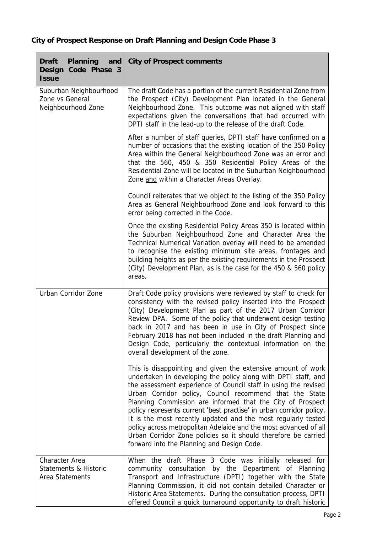| Planning<br>Draft<br>and<br>Code Phase 3<br>Design<br><b>Issue</b> | City of Prospect comments                                                                                                                                                                                                                                                                                                                                                                                                                                                                                                                                                                                                                              |
|--------------------------------------------------------------------|--------------------------------------------------------------------------------------------------------------------------------------------------------------------------------------------------------------------------------------------------------------------------------------------------------------------------------------------------------------------------------------------------------------------------------------------------------------------------------------------------------------------------------------------------------------------------------------------------------------------------------------------------------|
| Suburban Neighbourhood<br>Zone vs General<br>Neighbourhood Zone    | The draft Code has a portion of the current Residential Zone from<br>the Prospect (City) Development Plan located in the General<br>Neighbourhood Zone. This outcome was not aligned with staff<br>expectations given the conversations that had occurred with<br>DPTI staff in the lead-up to the release of the draft Code.                                                                                                                                                                                                                                                                                                                          |
|                                                                    | After a number of staff queries, DPTI staff have confirmed on a<br>number of occasions that the existing location of the 350 Policy<br>Area within the General Neighbourhood Zone was an error and<br>that the 560, 450 & 350 Residential Policy Areas of the<br>Residential Zone will be located in the Suburban Neighbourhood<br>Zone and within a Character Areas Overlay.                                                                                                                                                                                                                                                                          |
|                                                                    | Council reiterates that we object to the listing of the 350 Policy<br>Area as General Neighbourhood Zone and look forward to this<br>error being corrected in the Code.                                                                                                                                                                                                                                                                                                                                                                                                                                                                                |
|                                                                    | Once the existing Residential Policy Areas 350 is located within<br>the Suburban Neighbourhood Zone and Character Area the<br>Technical Numerical Variation overlay will need to be amended<br>to recognise the existing minimum site areas, frontages and<br>building heights as per the existing requirements in the Prospect<br>(City) Development Plan, as is the case for the 450 & 560 policy<br>areas.                                                                                                                                                                                                                                          |
| Urban Corridor Zone                                                | Draft Code policy provisions were reviewed by staff to check for<br>consistency with the revised policy inserted into the Prospect<br>(City) Development Plan as part of the 2017 Urban Corridor<br>Review DPA. Some of the policy that underwent design testing<br>back in 2017 and has been in use in City of Prospect since<br>February 2018 has not been included in the draft Planning and<br>Design Code, particularly the contextual information on the<br>overall development of the zone.                                                                                                                                                     |
|                                                                    | This is disappointing and given the extensive amount of work<br>undertaken in developing the policy along with DPTI staff, and<br>the assessment experience of Council staff in using the revised<br>Urban Corridor policy, Council recommend that the State<br>Planning Commission are informed that the City of Prospect<br>policy represents current 'best practise' in urban corridor policy.<br>It is the most recently updated and the most regularly tested<br>policy across metropolitan Adelaide and the most advanced of all<br>Urban Corridor Zone policies so it should therefore be carried<br>forward into the Planning and Design Code. |
| Character Area<br>Statements & Historic<br>Area Statements         | When the draft Phase 3 Code was initially released for<br>community consultation by the Department of Planning<br>Transport and Infrastructure (DPTI) together with the State<br>Planning Commission, it did not contain detailed Character or<br>Historic Area Statements. During the consultation process, DPTI<br>offered Council a quick turnaround opportunity to draft historic                                                                                                                                                                                                                                                                  |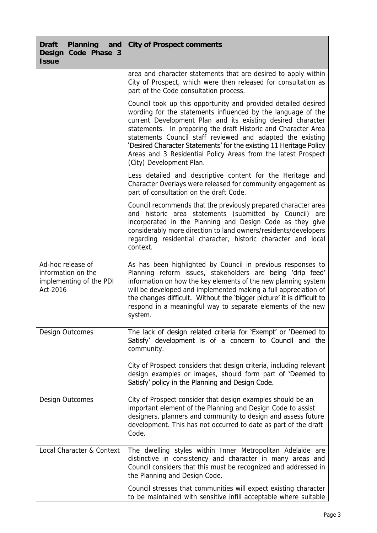| Planning<br>Draft<br>and<br>Design<br>Code Phase 3<br><b>Issue</b>             | City of Prospect comments                                                                                                                                                                                                                                                                                                                                                                                                                                                                        |
|--------------------------------------------------------------------------------|--------------------------------------------------------------------------------------------------------------------------------------------------------------------------------------------------------------------------------------------------------------------------------------------------------------------------------------------------------------------------------------------------------------------------------------------------------------------------------------------------|
|                                                                                | area and character statements that are desired to apply within<br>City of Prospect, which were then released for consultation as<br>part of the Code consultation process.                                                                                                                                                                                                                                                                                                                       |
|                                                                                | Council took up this opportunity and provided detailed desired<br>wording for the statements influenced by the language of the<br>current Development Plan and its existing desired character<br>statements. In preparing the draft Historic and Character Area<br>statements Council staff reviewed and adapted the existing<br>'Desired Character Statements' for the existing 11 Heritage Policy<br>Areas and 3 Residential Policy Areas from the latest Prospect<br>(City) Development Plan. |
|                                                                                | Less detailed and descriptive content for the Heritage and<br>Character Overlays were released for community engagement as<br>part of consultation on the draft Code.                                                                                                                                                                                                                                                                                                                            |
|                                                                                | Council recommends that the previously prepared character area<br>and historic area statements (submitted by Council) are<br>incorporated in the Planning and Design Code as they give<br>considerably more direction to land owners/residents/developers<br>regarding residential character, historic character and local<br>context.                                                                                                                                                           |
| Ad-hoc release of<br>information on the<br>implementing of the PDI<br>Act 2016 | As has been highlighted by Council in previous responses to<br>Planning reform issues, stakeholders are being 'drip feed'<br>information on how the key elements of the new planning system<br>will be developed and implemented making a full appreciation of<br>the changes difficult. Without the 'bigger picture' it is difficult to<br>respond in a meaningful way to separate elements of the new<br>system.                                                                               |
| Design Outcomes                                                                | The lack of design related criteria for 'Exempt' or 'Deemed to<br>Satisfy' development is of a concern to Council and the<br>community.                                                                                                                                                                                                                                                                                                                                                          |
|                                                                                | City of Prospect considers that design criteria, including relevant<br>design examples or images, should form part of 'Deemed to<br>Satisfy' policy in the Planning and Design Code.                                                                                                                                                                                                                                                                                                             |
| Design Outcomes                                                                | City of Prospect consider that design examples should be an<br>important element of the Planning and Design Code to assist<br>designers, planners and community to design and assess future<br>development. This has not occurred to date as part of the draft<br>Code.                                                                                                                                                                                                                          |
| Local Character & Context                                                      | The dwelling styles within Inner Metropolitan Adelaide are<br>distinctive in consistency and character in many areas and<br>Council considers that this must be recognized and addressed in<br>the Planning and Design Code.                                                                                                                                                                                                                                                                     |
|                                                                                | Council stresses that communities will expect existing character<br>to be maintained with sensitive infill acceptable where suitable                                                                                                                                                                                                                                                                                                                                                             |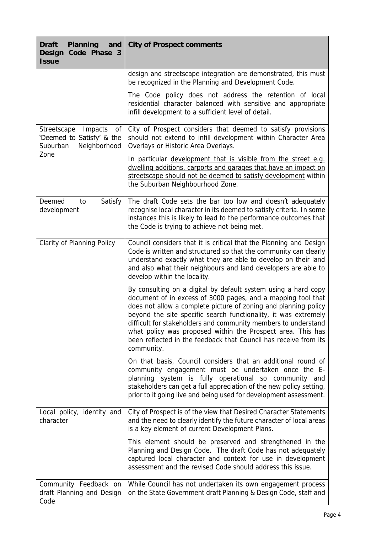| Planning<br>Draft<br>and<br>Design<br>Code Phase 3<br><b>Issue</b>                    | City of Prospect comments                                                                                                                                                                                                                                                                                                                                                                                                                                                               |
|---------------------------------------------------------------------------------------|-----------------------------------------------------------------------------------------------------------------------------------------------------------------------------------------------------------------------------------------------------------------------------------------------------------------------------------------------------------------------------------------------------------------------------------------------------------------------------------------|
|                                                                                       | design and streetscape integration are demonstrated, this must<br>be recognized in the Planning and Development Code.                                                                                                                                                                                                                                                                                                                                                                   |
|                                                                                       | The Code policy does not address the retention of local<br>residential character balanced with sensitive and appropriate<br>infill development to a sufficient level of detail.                                                                                                                                                                                                                                                                                                         |
| Streetscape<br>Impacts<br>Оf<br>'Deemed to Satisfy' & the<br>Suburban<br>Neighborhood | City of Prospect considers that deemed to satisfy provisions<br>should not extend to infill development within Character Area<br>Overlays or Historic Area Overlays.                                                                                                                                                                                                                                                                                                                    |
| Zone                                                                                  | In particular development that is visible from the street e.g.<br>dwelling additions, carports and garages that have an impact on<br>streetscape should not be deemed to satisfy development within<br>the Suburban Neighbourhood Zone.                                                                                                                                                                                                                                                 |
| Deemed<br>Satisfy<br>to<br>development                                                | The draft Code sets the bar too low and doesn't adequately<br>recognise local character in its deemed to satisfy criteria. In some<br>instances this is likely to lead to the performance outcomes that<br>the Code is trying to achieve not being met.                                                                                                                                                                                                                                 |
| Clarity of Planning Policy                                                            | Council considers that it is critical that the Planning and Design<br>Code is written and structured so that the community can clearly<br>understand exactly what they are able to develop on their land<br>and also what their neighbours and land developers are able to<br>develop within the locality.                                                                                                                                                                              |
|                                                                                       | By consulting on a digital by default system using a hard copy<br>document of in excess of 3000 pages, and a mapping tool that<br>does not allow a complete picture of zoning and planning policy<br>beyond the site specific search functionality, it was extremely<br>difficult for stakeholders and community members to understand<br>what policy was proposed within the Prospect area. This has<br>been reflected in the feedback that Council has receive from its<br>community. |
|                                                                                       | On that basis, Council considers that an additional round of<br>community engagement must be undertaken once the E-<br>planning system is fully operational so community and<br>stakeholders can get a full appreciation of the new policy setting,<br>prior to it going live and being used for development assessment.                                                                                                                                                                |
| Local policy, identity and<br>character                                               | City of Prospect is of the view that Desired Character Statements<br>and the need to clearly identify the future character of local areas<br>is a key element of current Development Plans.                                                                                                                                                                                                                                                                                             |
|                                                                                       | This element should be preserved and strengthened in the<br>Planning and Design Code. The draft Code has not adequately<br>captured local character and context for use in development<br>assessment and the revised Code should address this issue.                                                                                                                                                                                                                                    |
| Community Feedback on<br>draft Planning and Design<br>Code                            | While Council has not undertaken its own engagement process<br>on the State Government draft Planning & Design Code, staff and                                                                                                                                                                                                                                                                                                                                                          |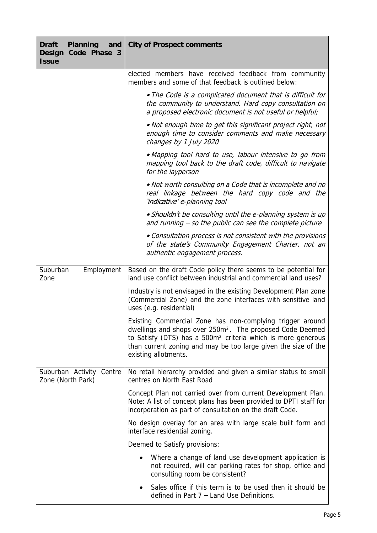| Planning<br>Draft<br>and<br>Code Phase 3<br>Design<br><b>Issue</b> | City of Prospect comments                                                                                                                                                                                                                                                                                |
|--------------------------------------------------------------------|----------------------------------------------------------------------------------------------------------------------------------------------------------------------------------------------------------------------------------------------------------------------------------------------------------|
|                                                                    | elected members have received feedback from community<br>members and some of that feedback is outlined below:                                                                                                                                                                                            |
|                                                                    | . The Code is a complicated document that is difficult for<br>the community to understand. Hard copy consultation on<br>a proposed electronic document is not useful or helpful;                                                                                                                         |
|                                                                    | . Not enough time to get this significant project right, not<br>enough time to consider comments and make necessary<br>changes by 1 July 2020                                                                                                                                                            |
|                                                                    | · Mapping tool hard to use, labour intensive to go from<br>mapping tool back to the draft code, difficult to navigate<br>for the layperson                                                                                                                                                               |
|                                                                    | . Not worth consulting on a Code that is incomplete and no<br>real linkage between the hard copy code and the<br>'indicative' e-planning tool                                                                                                                                                            |
|                                                                    | • Shouldn't be consulting until the e-planning system is up<br>and running $-$ so the public can see the complete picture                                                                                                                                                                                |
|                                                                    | • Consultation process is not consistent with the provisions<br>of the state's Community Engagement Charter, not an<br>authentic engagement process.                                                                                                                                                     |
| Suburban<br>Employment<br>Zone                                     | Based on the draft Code policy there seems to be potential for<br>land use conflict between industrial and commercial land uses?                                                                                                                                                                         |
|                                                                    | Industry is not envisaged in the existing Development Plan zone<br>(Commercial Zone) and the zone interfaces with sensitive land<br>uses (e.g. residential)                                                                                                                                              |
|                                                                    | Existing Commercial Zone has non-complying trigger around<br>dwellings and shops over 250m <sup>2</sup> . The proposed Code Deemed<br>to Satisfy (DTS) has a 500m <sup>2</sup> criteria which is more generous<br>than current zoning and may be too large given the size of the<br>existing allotments. |
| Suburban Activity Centre<br>Zone (North Park)                      | No retail hierarchy provided and given a similar status to small<br>centres on North East Road                                                                                                                                                                                                           |
|                                                                    | Concept Plan not carried over from current Development Plan.<br>Note: A list of concept plans has been provided to DPTI staff for<br>incorporation as part of consultation on the draft Code.                                                                                                            |
|                                                                    | No design overlay for an area with large scale built form and<br>interface residential zoning.                                                                                                                                                                                                           |
|                                                                    | Deemed to Satisfy provisions:                                                                                                                                                                                                                                                                            |
|                                                                    | Where a change of land use development application is<br>not required, will car parking rates for shop, office and<br>consulting room be consistent?                                                                                                                                                     |
|                                                                    | Sales office if this term is to be used then it should be<br>defined in Part 7 - Land Use Definitions.                                                                                                                                                                                                   |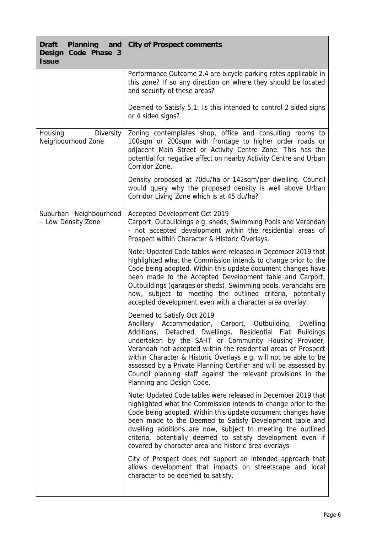| Planning<br>Draft<br>and<br>Code Phase 3<br>Design<br><b>Issue</b> | City of Prospect comments                                                                                                                                                                                                                                                                                                                                                                                                                                                                                           |
|--------------------------------------------------------------------|---------------------------------------------------------------------------------------------------------------------------------------------------------------------------------------------------------------------------------------------------------------------------------------------------------------------------------------------------------------------------------------------------------------------------------------------------------------------------------------------------------------------|
|                                                                    | Performance Outcome 2.4 are bicycle parking rates applicable in<br>this zone? If so any direction on where they should be located<br>and security of these areas?                                                                                                                                                                                                                                                                                                                                                   |
|                                                                    | Deemed to Satisfy 5.1: Is this intended to control 2 sided signs<br>or 4 sided signs?                                                                                                                                                                                                                                                                                                                                                                                                                               |
| Housing<br>Diversity<br>Neighbourhood Zone                         | Zoning contemplates shop, office and consulting rooms to<br>100sqm or 200sqm with frontage to higher order roads or<br>adjacent Main Street or Activity Centre Zone. This has the<br>potential for negative affect on nearby Activity Centre and Urban<br>Corridor Zone.                                                                                                                                                                                                                                            |
|                                                                    | Density proposed at 70du/ha or 142sqm/per dwelling. Council<br>would query why the proposed density is well above Urban<br>Corridor Living Zone which is at 45 du/ha?                                                                                                                                                                                                                                                                                                                                               |
| Suburban Neighbourhood<br>- Low Density Zone                       | Accepted Development Oct 2019<br>Carport, Outbuildings e.g. sheds, Swimming Pools and Verandah<br>- not accepted development within the residential areas of<br>Prospect within Character & Historic Overlays.                                                                                                                                                                                                                                                                                                      |
|                                                                    | Note: Updated Code tables were released in December 2019 that<br>highlighted what the Commission intends to change prior to the<br>Code being adopted. Within this update document changes have<br>been made to the Accepted Development table and Carport,<br>Outbuildings (garages or sheds), Swimming pools, verandahs are<br>now, subject to meeting the outlined criteria, potentially<br>accepted development even with a character area overlay.                                                             |
|                                                                    | Deemed to Satisfy Oct 2019<br>Ancillary Accommodation, Carport, Outbuilding, Dwelling<br>Additions, Detached Dwellings, Residential Flat Buildings<br>undertaken by the SAHT or Community Housing Provider,<br>Verandah not accepted within the residential areas of Prospect<br>within Character & Historic Overlays e.g. will not be able to be<br>assessed by a Private Planning Certifier and will be assessed by<br>Council planning staff against the relevant provisions in the<br>Planning and Design Code. |
|                                                                    | Note: Updated Code tables were released in December 2019 that<br>highlighted what the Commission intends to change prior to the<br>Code being adopted. Within this update document changes have<br>been made to the Deemed to Satisfy Development table and<br>dwelling additions are now, subject to meeting the outlined<br>criteria, potentially deemed to satisfy development even if<br>covered by character area and historic area overlays                                                                   |
|                                                                    | City of Prospect does not support an intended approach that<br>allows development that impacts on streetscape and local<br>character to be deemed to satisfy.                                                                                                                                                                                                                                                                                                                                                       |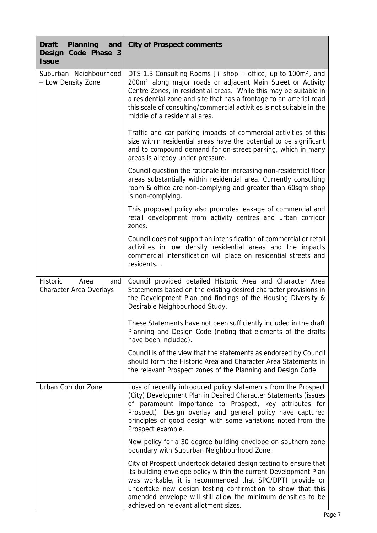| Planning<br>Draft<br>and<br>Design Code Phase 3<br><b>Issue</b> | City of Prospect comments                                                                                                                                                                                                                                                                                                                                                                                     |
|-----------------------------------------------------------------|---------------------------------------------------------------------------------------------------------------------------------------------------------------------------------------------------------------------------------------------------------------------------------------------------------------------------------------------------------------------------------------------------------------|
| Suburban Neighbourhood<br>- Low Density Zone                    | DTS 1.3 Consulting Rooms $[+$ shop $+$ office] up to 100m <sup>2</sup> , and<br>200m <sup>2</sup> along major roads or adjacent Main Street or Activity<br>Centre Zones, in residential areas. While this may be suitable in<br>a residential zone and site that has a frontage to an arterial road<br>this scale of consulting/commercial activities is not suitable in the<br>middle of a residential area. |
|                                                                 | Traffic and car parking impacts of commercial activities of this<br>size within residential areas have the potential to be significant<br>and to compound demand for on-street parking, which in many<br>areas is already under pressure.                                                                                                                                                                     |
|                                                                 | Council question the rationale for increasing non-residential floor<br>areas substantially within residential area. Currently consulting<br>room & office are non-complying and greater than 60sqm shop<br>is non-complying.                                                                                                                                                                                  |
|                                                                 | This proposed policy also promotes leakage of commercial and<br>retail development from activity centres and urban corridor<br>zones.                                                                                                                                                                                                                                                                         |
|                                                                 | Council does not support an intensification of commercial or retail<br>activities in low density residential areas and the impacts<br>commercial intensification will place on residential streets and<br>residents                                                                                                                                                                                           |
| Historic<br>Area<br>and<br>Character Area Overlays              | Council provided detailed Historic Area and Character Area<br>Statements based on the existing desired character provisions in<br>the Development Plan and findings of the Housing Diversity &<br>Desirable Neighbourhood Study.                                                                                                                                                                              |
|                                                                 | These Statements have not been sufficiently included in the draft<br>Planning and Design Code (noting that elements of the drafts<br>have been included).                                                                                                                                                                                                                                                     |
|                                                                 | Council is of the view that the statements as endorsed by Council<br>should form the Historic Area and Character Area Statements in<br>the relevant Prospect zones of the Planning and Design Code.                                                                                                                                                                                                           |
| Urban Corridor Zone                                             | Loss of recently introduced policy statements from the Prospect<br>(City) Development Plan in Desired Character Statements (issues<br>of paramount importance to Prospect, key attributes for<br>Prospect). Design overlay and general policy have captured<br>principles of good design with some variations noted from the<br>Prospect example.                                                             |
|                                                                 | New policy for a 30 degree building envelope on southern zone<br>boundary with Suburban Neighbourhood Zone.                                                                                                                                                                                                                                                                                                   |
|                                                                 | City of Prospect undertook detailed design testing to ensure that<br>its building envelope policy within the current Development Plan<br>was workable, it is recommended that SPC/DPTI provide or<br>undertake new design testing confirmation to show that this<br>amended envelope will still allow the minimum densities to be<br>achieved on relevant allotment sizes.                                    |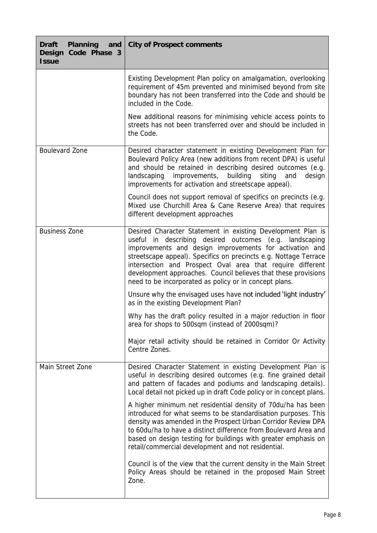| Planning<br>Draft<br>and<br>Design<br>Code Phase 3<br><b>Issue</b> | City of Prospect comments                                                                                                                                                                                                                                                                                                                                                                                                                       |
|--------------------------------------------------------------------|-------------------------------------------------------------------------------------------------------------------------------------------------------------------------------------------------------------------------------------------------------------------------------------------------------------------------------------------------------------------------------------------------------------------------------------------------|
|                                                                    | Existing Development Plan policy on amalgamation, overlooking<br>requirement of 45m prevented and minimised beyond from site<br>boundary has not been transferred into the Code and should be<br>included in the Code.                                                                                                                                                                                                                          |
|                                                                    | New additional reasons for minimising vehicle access points to<br>streets has not been transferred over and should be included in<br>the Code.                                                                                                                                                                                                                                                                                                  |
| Boulevard Zone                                                     | Desired character statement in existing Development Plan for<br>Boulevard Policy Area (new additions from recent DPA) is useful<br>and should be retained in describing desired outcomes (e.g.<br>building<br>landscaping<br>improvements,<br>siting<br>design<br>and<br>improvements for activation and streetscape appeal).                                                                                                                   |
|                                                                    | Council does not support removal of specifics on precincts (e.g.<br>Mixed use Churchill Area & Cane Reserve Area) that requires<br>different development approaches                                                                                                                                                                                                                                                                             |
| <b>Business Zone</b>                                               | Desired Character Statement in existing Development Plan is<br>useful in describing desired outcomes (e.g. landscaping<br>improvements and design improvements for activation and<br>streetscape appeal). Specifics on precincts e.g. Nottage Terrace<br>intersection and Prospect Oval area that require different<br>development approaches. Council believes that these provisions<br>need to be incorporated as policy or in concept plans. |
|                                                                    | Unsure why the envisaged uses have not included 'light industry'<br>as in the existing Development Plan?                                                                                                                                                                                                                                                                                                                                        |
|                                                                    | Why has the draft policy resulted in a major reduction in floor<br>area for shops to 500sqm (instead of 2000sqm)?                                                                                                                                                                                                                                                                                                                               |
|                                                                    | Major retail activity should be retained in Corridor Or Activity<br>Centre Zones.                                                                                                                                                                                                                                                                                                                                                               |
| Main Street Zone                                                   | Desired Character Statement in existing Development Plan is<br>useful in describing desired outcomes (e.g. fine grained detail<br>and pattern of facades and podiums and landscaping details).<br>Local detail not picked up in draft Code policy or in concept plans.                                                                                                                                                                          |
|                                                                    | A higher minimum net residential density of 70du/ha has been<br>introduced for what seems to be standardisation purposes. This<br>density was amended in the Prospect Urban Corridor Review DPA<br>to 60du/ha to have a distinct difference from Boulevard Area and<br>based on design testing for buildings with greater emphasis on<br>retail/commercial development and not residential.                                                     |
|                                                                    | Council is of the view that the current density in the Main Street<br>Policy Areas should be retained in the proposed Main Street<br>Zone.                                                                                                                                                                                                                                                                                                      |